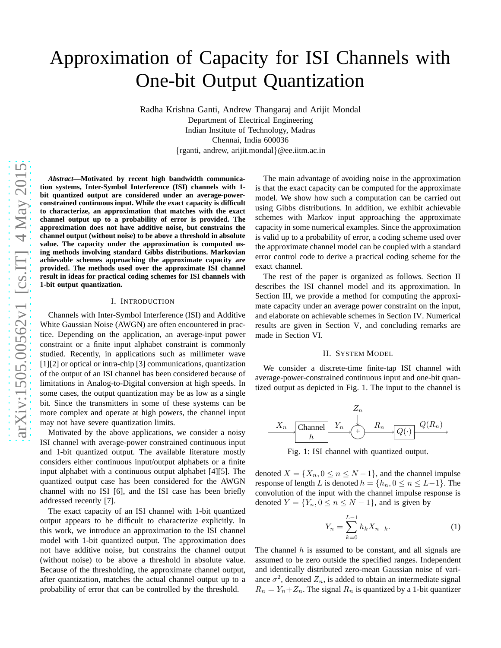# Approximation of Capacity for ISI Channels with One-bit Output Quantization

Radha Krishna Ganti, Andrew Thangaraj and Arijit Mondal Department of Electrical Engineering Indian Institute of Technology, Madras Chennai, India 600036 {rganti, andrew, arijit.mondal}@ee.iitm.ac.in

*Abstract***—Motivated by recent high bandwidth communication systems, Inter-Symbol Interference (ISI) channels with 1 bit quantized output are considered under an average-powerconstrained continuous input. While the exact capacity is difficult to characterize, an approximation that matches with the exact channel output up to a probability of error is provided. The approximation does not have additive noise, but constrains the channel output (without noise) to be above a threshold in absolute value. The capacity under the approximation is computed using methods involving standard Gibbs distributions. Markovian achievable schemes approaching the approximate capacity are provided. The methods used over the approximate ISI channel result in ideas for practical coding schemes for ISI channels with 1-bit output quantization.**

#### I. INTRODUCTION

Channels with Inter-Symbol Interference (ISI) and Additive White Gaussian Noise (AWGN) are often encountered in practice. Depending on the application, an average-input power constraint or a finite input alphabet constraint is commonly studied. Recently, in applications such as millimeter wave [1][2] or optical or intra-chip [3] communications, quantization of the output of an ISI channel has been considered because of limitations in Analog-to-Digital conversion at high speeds. In some cases, the output quantization may be as low as a single bit. Since the transmitters in some of these systems can be more complex and operate at high powers, the channel input may not have severe quantization limits.

Motivated by the above applications, we consider a noisy ISI channel with average-power constrained continuous input and 1-bit quantized output. The available literature mostly considers either continuous input/output alphabets or a finite input alphabet with a continuous output alphabet [4][5]. The quantized output case has been considered for the AWGN channel with no ISI [6], and the ISI case has been briefly addressed recently [7].

The exact capacity of an ISI channel with 1-bit quantized output appears to be difficult to characterize explicitly. In this work, we introduce an approximation to the ISI channel model with 1-bit quantized output. The approximation does not have additive noise, but constrains the channel output (without noise) to be above a threshold in absolute value. Because of the thresholding, the approximate channel output, after quantization, matches the actual channel output up to a probability of error that can be controlled by the threshold.

The main advantage of avoiding noise in the approximation is that the exact capacity can be computed for the approximate model. We show how such a computation can be carried out using Gibbs distributions. In addition, we exhibit achievable schemes with Markov input approaching the approximate capacity in some numerical examples. Since the approximation is valid up to a probability of error, a coding scheme used over the approximate channel model can be coupled with a standard error control code to derive a practical coding scheme for the exact channel.

The rest of the paper is organized as follows. Section II describes the ISI channel model and its approximation. In Section III, we provide a method for computing the approximate capacity under an average power constraint on the input, and elaborate on achievable schemes in Section IV. Numerical results are given in Section V, and concluding remarks are made in Section VI.

#### II. SYSTEM MODEL

We consider a discrete-time finite-tap ISI channel with average-power-constrained continuous input and one-bit quantized output as depicted in Fig. 1. The input to the channel is



Fig. 1: ISI channel with quantized output.

denoted  $X = \{X_n, 0 \le n \le N-1\}$ , and the channel impulse response of length L is denoted  $h = \{h_n, 0 \leq n \leq L-1\}$ . The convolution of the input with the channel impulse response is denoted  $Y = \{Y_n, 0 \le n \le N - 1\}$ , and is given by

$$
Y_n = \sum_{k=0}^{L-1} h_k X_{n-k}.
$$
 (1)

The channel  $h$  is assumed to be constant, and all signals are assumed to be zero outside the specified ranges. Independent and identically distributed zero-mean Gaussian noise of variance  $\sigma^2$ , denoted  $Z_n$ , is added to obtain an intermediate signal  $R_n = Y_n + Z_n$ . The signal  $R_n$  is quantized by a 1-bit quantizer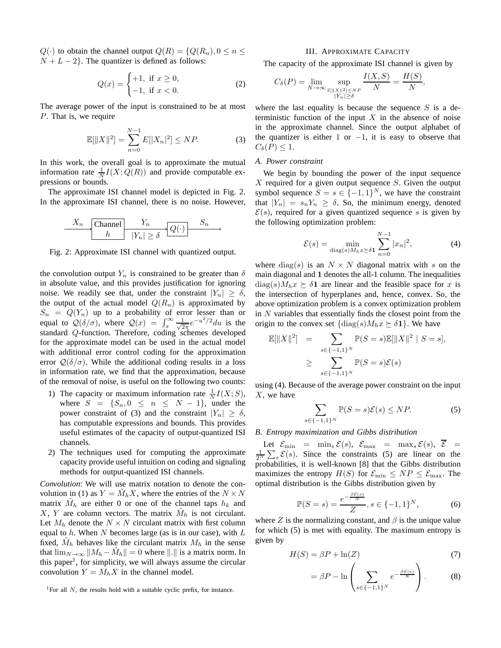$Q(\cdot)$  to obtain the channel output  $Q(R) = \{Q(R_n), 0 \leq n \leq n\}$  $N + L - 2$ . The quantizer is defined as follows:

$$
Q(x) = \begin{cases} +1, & \text{if } x \ge 0, \\ -1, & \text{if } x < 0. \end{cases}
$$
 (2)

The average power of the input is constrained to be at most P. That is, we require

$$
\mathbb{E}[\|X\|^2] = \sum_{n=0}^{N-1} E[|X_n|^2] \le NP. \tag{3}
$$

In this work, the overall goal is to approximate the mutual information rate  $\frac{1}{N}I(X;Q(R))$  and provide computable expressions or bounds.

The approximate ISI channel model is depicted in Fig. 2. In the approximate ISI channel, there is no noise. However,

$$
\begin{array}{c|c}\nX_n & \text{Channel} & Y_n \\
\hline\nh & |Y_n| \ge \delta\n\end{array}
$$

Fig. 2: Approximate ISI channel with quantized output.

the convolution output  $Y_n$  is constrained to be greater than  $\delta$ in absolute value, and this provides justification for ignoring noise. We readily see that, under the constraint  $|Y_n| \geq \delta$ , the output of the actual model  $Q(R_n)$  is approximated by  $S_n = Q(Y_n)$  up to a probability of error lesser than or equal to  $\mathcal{Q}(\delta/\sigma)$ , where  $\mathcal{Q}(x) = \int_x^{\infty} \frac{1}{\sqrt{2}}$  $rac{1}{2\pi}e^{-u^2/2}du$  is the standard  $Q$ -function. Therefore, coding schemes developed for the approximate model can be used in the actual model with additional error control coding for the approximation error  $\mathcal{Q}(\delta/\sigma)$ . While the additional coding results in a loss in information rate, we find that the approximation, because of the removal of noise, is useful on the following two counts:

- 1) The capacity or maximum information rate  $\frac{1}{N}I(X;S)$ , where  $S = \{S_n, 0 \leq n \leq N-1\}$ , under the power constraint of (3) and the constraint  $|Y_n| \geq \delta$ , has computable expressions and bounds. This provides useful estimates of the capacity of output-quantized ISI channels.
- 2) The techniques used for computing the approximate capacity provide useful intuition on coding and signaling methods for output-quantized ISI channels.

*Convolution*: We will use matrix notation to denote the convolution in (1) as  $Y = \tilde{M}_h X$ , where the entries of the  $N \times N$ matrix  $\tilde{M}_h$  are either 0 or one of the channel taps  $h_k$  and X, Y are column vectors. The matrix  $\tilde{M}_h$  is not circulant. Let  $M_h$  denote the  $N \times N$  circulant matrix with first column equal to h. When N becomes large (as is in our case), with  $L$ fixed,  $\tilde{M}_h$  behaves like the circulant matrix  $M_h$  in the sense that  $\lim_{N \to \infty} ||M_h - \tilde{M}_h|| = 0$  where  $|| \cdot ||$  is a matrix norm. In this paper<sup>1</sup>, for simplicity, we will always assume the circular convolution  $Y = M_h X$  in the channel model.

#### III. APPROXIMATE CAPACITY

The capacity of the approximate ISI channel is given by

$$
C_{\delta}(P) = \lim_{N \to \infty} \sup_{\substack{\mathbb{E}[\|X\|^2] \le N^P \\ |Y_n| \ge \delta}} \frac{I(X, S)}{N} = \frac{H(S)}{N},
$$

where the last equality is because the sequence  $S$  is a deterministic function of the input  $X$  in the absence of noise in the approximate channel. Since the output alphabet of the quantizer is either 1 or  $-1$ , it is easy to observe that  $C_{\delta}(P) \leq 1.$ 

# *A. Power constraint*

We begin by bounding the power of the input sequence  $X$  required for a given output sequence  $S$ . Given the output symbol sequence  $S = s \in \{-1,1\}^N$ , we have the constraint that  $|Y_n| = s_n Y_n \ge \delta$ . So, the minimum energy, denoted  $\mathcal{E}(s)$ , required for a given quantized sequence s is given by the following optimization problem:

$$
\mathcal{E}(s) = \min_{\text{diag}(s)M_h x \succeq \delta \mathbf{1}} \sum_{n=0}^{N-1} |x_n|^2,
$$
 (4)

where diag(s) is an  $N \times N$  diagonal matrix with s on the main diagonal and 1 denotes the all-1 column. The inequalities  $diag(s)M_hx \succeq \delta$ 1 are linear and the feasible space for x is the intersection of hyperplanes and, hence, convex. So, the above optimization problem is a convex optimization problem in  $N$  variables that essentially finds the closest point from the origin to the convex set  $\{\text{diag}(s)M_hx \succeq \delta \mathbf{1}\}\)$ . We have

$$
\mathbb{E}[\|X\|^2] = \sum_{s \in \{-1,1\}^N} \mathbb{P}(S = s) \mathbb{E}[\|X\|^2 | S = s],
$$
  
 
$$
\geq \sum_{s \in \{-1,1\}^N} \mathbb{P}(S = s) \mathcal{E}(s)
$$

using (4). Because of the average power constraint on the input  $X$ , we have

$$
\sum_{\{z=1,1\}^N} \mathbb{P}(S=s)\mathcal{E}(s) \le NP. \tag{5}
$$

## *B. Entropy maximization and Gibbs distribution*

 $s\in$ 

Let  $\mathcal{E}_{\min}$  =  $\min_s \mathcal{E}(s)$ ,  $\mathcal{E}_{\max}$  =  $\max_s \mathcal{E}(s)$ ,  $\overline{\mathcal{E}}$  =  $\frac{1}{2^N}\sum_s \mathcal{E}(s)$ . Since the constraints (5) are linear on the probabilities, it is well-known [8] that the Gibbs distribution maximizes the entropy  $H(S)$  for  $\mathcal{E}_{\text{min}} \leq NP \leq \mathcal{E}_{\text{max}}$ . The optimal distribution is the Gibbs distribution given by

$$
\mathbb{P}(S = s) = \frac{e^{-\frac{\beta \mathcal{E}(s)}{N}}}{Z}, s \in \{-1, 1\}^{N},
$$
 (6)

where Z is the normalizing constant, and  $\beta$  is the unique value for which (5) is met with equality. The maximum entropy is given by

$$
H(S) = \beta P + \ln(Z) \tag{7}
$$

$$
= \beta P - \ln \left( \sum_{s \in \{-1,1\}^N} e^{-\frac{\beta \mathcal{E}(s)}{N}} \right). \tag{8}
$$

<sup>&</sup>lt;sup>1</sup>For all  $N$ , the results hold with a suitable cyclic prefix, for instance.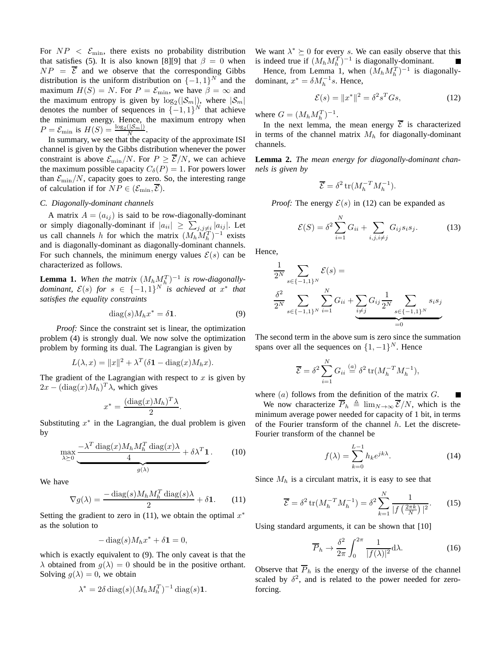For  $NP < \mathcal{E}_{\text{min}}$ , there exists no probability distribution that satisfies (5). It is also known [8][9] that  $\beta = 0$  when  $NP = \overline{\mathcal{E}}$  and we observe that the corresponding Gibbs distribution is the uniform distribution on  $\{-1, 1\}^N$  and the maximum  $H(S) = N$ . For  $P = \mathcal{E}_{\text{min}}$ , we have  $\beta = \infty$  and the maximum entropy is given by  $log_2(|\mathcal{S}_m|)$ , where  $|\mathcal{S}_m|$ denotes the number of sequences in  $\{-1,1\}^N$  that achieve the minimum energy. Hence, the maximum entropy when  $P = \mathcal{E}_{\min}$  is  $H(S) = \frac{\log_2(|\mathcal{S}_m|)}{N}$ .

In summary, we see that the capacity of the approximate ISI channel is given by the Gibbs distribution whenever the power constraint is above  $\mathcal{E}_{\min}/N$ . For  $P \geq \overline{\mathcal{E}}/N$ , we can achieve the maximum possible capacity  $C_{\delta}(P) = 1$ . For powers lower than  $\mathcal{E}_{\min}/N$ , capacity goes to zero. So, the interesting range of calculation if for  $NP \in (\mathcal{E}_{\min}, \overline{\mathcal{E}})$ .

# *C. Diagonally-dominant channels*

A matrix  $A = (a_{ij})$  is said to be row-diagonally-dominant or simply diagonally-dominant if  $|a_{ii}| \geq \sum_{j,j\neq i} |a_{ij}|$ . Let us call channels h for which the matrix  $(M_h \widetilde{M}_h^T)^{-1}$  exists and is diagonally-dominant as diagonally-dominant channels. For such channels, the minimum energy values  $\mathcal{E}(s)$  can be characterized as follows.

**Lemma 1.** When the matrix  $(M_h M_{h,h}^T)^{-1}$  is row-diagonally*dominant,*  $\mathcal{E}(s)$  *for*  $s \in \{-1,1\}^N$  *is achieved at*  $x^*$  *that satisfies the equality constraints*

$$
diag(s)M_h x^* = \delta \mathbf{1}.
$$
 (9)

*Proof:* Since the constraint set is linear, the optimization problem (4) is strongly dual. We now solve the optimization problem by forming its dual. The Lagrangian is given by

$$
L(\lambda, x) = ||x||^2 + \lambda^T (\delta \mathbf{1} - \text{diag}(x) M_h x).
$$

The gradient of the Lagrangian with respect to  $x$  is given by  $2x - (\text{diag}(x)M_h)^T \lambda$ , which gives

$$
x^* = \frac{(\text{diag}(x)M_h)^T \lambda}{2}.
$$

Substituting  $x^*$  in the Lagrangian, the dual problem is given by

$$
\max_{\lambda \ge 0} \underbrace{-\lambda^T \operatorname{diag}(x) M_h M_h^T \operatorname{diag}(x) \lambda}_{g(\lambda)} + \delta \lambda^T \mathbf{1}.
$$
 (10)

We have

$$
\nabla g(\lambda) = \frac{-\operatorname{diag}(s)M_h M_h^T \operatorname{diag}(s)\lambda}{2} + \delta \mathbf{1}.
$$
 (11)

Setting the gradient to zero in  $(11)$ , we obtain the optimal  $x^*$ as the solution to

$$
-\operatorname{diag}(s)M_hx^* + \delta \mathbf{1} = 0,
$$

which is exactly equivalent to (9). The only caveat is that the  $\lambda$  obtained from  $g(\lambda) = 0$  should be in the positive orthant. Solving  $q(\lambda) = 0$ , we obtain

$$
\lambda^* = 2\delta \operatorname{diag}(s) (M_h M_h^T)^{-1} \operatorname{diag}(s) \mathbf{1}.
$$

We want  $\lambda^* \succeq 0$  for every s. We can easily observe that this is indeed true if  $(M_h M_h^T)^{-1}$  is diagonally-dominant.

Hence, from Lemma 1, when  $(M_h M_h^T)^{-1}$  is diagonallydominant,  $x^* = \delta M_h^{-1} s$ . Hence,

$$
\mathcal{E}(s) = \|x^*\|^2 = \delta^2 s^T G s,\tag{12}
$$

where  $G = (M_h M_h^T)^{-1}$ .

In the next lemma, the mean energy  $\overline{\mathcal{E}}$  is characterized in terms of the channel matrix  $M_h$  for diagonally-dominant channels.

**Lemma 2.** *The mean energy for diagonally-dominant channels is given by*

$$
\overline{\mathcal{E}} = \delta^2 \operatorname{tr}(M_h^{-T} M_h^{-1}).
$$

*Proof:* The energy  $\mathcal{E}(s)$  in (12) can be expanded as

$$
\mathcal{E}(S) = \delta^2 \sum_{i=1}^{N} G_{ii} + \sum_{i,j,i \neq j} G_{ij} s_i s_j.
$$
 (13)

Hence,

$$
\frac{1}{2^{N}} \sum_{s \in \{-1,1\}^{N}} \mathcal{E}(s) =
$$
\n
$$
\frac{\delta^{2}}{2^{N}} \sum_{s \in \{-1,1\}^{N}} \sum_{i=1}^{N} G_{ii} + \underbrace{\sum_{i \neq j} G_{ij} \frac{1}{2^{N}} \sum_{s \in \{-1,1\}^{N}} s_{i} s_{j}}_{=0}
$$

The second term in the above sum is zero since the summation spans over all the sequences on  $\{1, -1\}^N$ . Hence

$$
\overline{\mathcal{E}} = \delta^2 \sum_{i=1}^N G_{ii} \stackrel{(a)}{=} \delta^2 \operatorname{tr}(M_h^{-T} M_h^{-1}),
$$

where  $(a)$  follows from the definition of the matrix  $G$ .

We now characterize  $\overline{P}_h \triangleq \lim_{N\to\infty} \overline{\mathcal{E}}/N$ , which is the minimum average power needed for capacity of 1 bit, in terms of the Fourier transform of the channel  $h$ . Let the discrete-Fourier transform of the channel be

$$
f(\lambda) = \sum_{k=0}^{L-1} h_k e^{jk\lambda}.
$$
 (14)

Since  $M_h$  is a circulant matrix, it is easy to see that

$$
\overline{\mathcal{E}} = \delta^2 \operatorname{tr}(M_h^{-T} M_h^{-1}) = \delta^2 \sum_{k=1}^N \frac{1}{|f\left(\frac{2\pi k}{N}\right)|^2}.
$$
 (15)

Using standard arguments, it can be shown that [10]

$$
\overline{P}_h \to \frac{\delta^2}{2\pi} \int_0^{2\pi} \frac{1}{|f(\lambda)|^2} d\lambda. \tag{16}
$$

Observe that  $\overline{P}_h$  is the energy of the inverse of the channel scaled by  $\delta^2$ , and is related to the power needed for zeroforcing.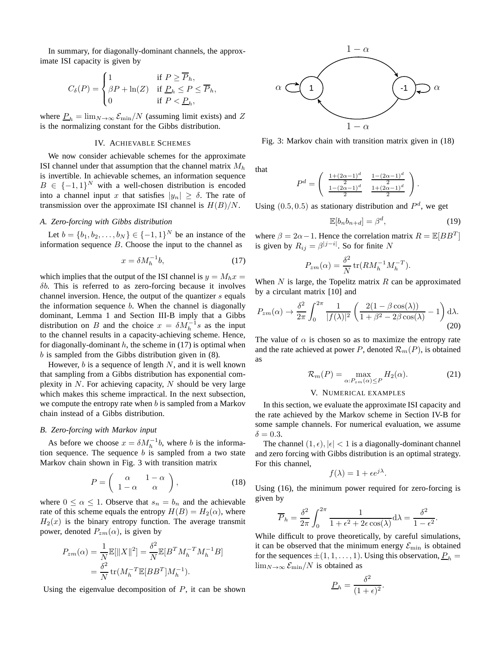In summary, for diagonally-dominant channels, the approximate ISI capacity is given by

$$
C_{\delta}(P) = \begin{cases} 1 & \text{if } P \ge \overline{P}_h, \\ \beta P + \ln(Z) & \text{if } \underline{P}_h \le P \le \overline{P}_h, \\ 0 & \text{if } P < \underline{P}_h, \end{cases}
$$

where  $P_h = \lim_{N \to \infty} \mathcal{E}_{\text{min}}/N$  (assuming limit exists) and Z is the normalizing constant for the Gibbs distribution.

#### IV. ACHIEVABLE SCHEMES

We now consider achievable schemes for the approximate ISI channel under that assumption that the channel matrix  $M_h$ is invertible. In achievable schemes, an information sequence  $B \in \{-1,1\}^N$  with a well-chosen distribution is encoded into a channel input x that satisfies  $|y_n| \geq \delta$ . The rate of transmission over the approximate ISI channel is  $H(B)/N$ .

# *A. Zero-forcing with Gibbs distribution*

Let  $b = \{b_1, b_2, ..., b_N\} \in \{-1, 1\}^N$  be an instance of the information sequence  $B$ . Choose the input to the channel as

$$
x = \delta M_h^{-1} b,\tag{17}
$$

which implies that the output of the ISI channel is  $y = M_h x =$  $\delta b$ . This is referred to as zero-forcing because it involves channel inversion. Hence, the output of the quantizer s equals the information sequence  $b$ . When the channel is diagonally dominant, Lemma 1 and Section III-B imply that a Gibbs distribution on B and the choice  $x = \delta M_h^{-1} s$  as the input to the channel results in a capacity-achieving scheme. Hence, for diagonally-dominant  $h$ , the scheme in (17) is optimal when  $b$  is sampled from the Gibbs distribution given in  $(8)$ .

However,  $b$  is a sequence of length  $N$ , and it is well known that sampling from a Gibbs distribution has exponential complexity in  $N$ . For achieving capacity, N should be very large which makes this scheme impractical. In the next subsection, we compute the entropy rate when  $b$  is sampled from a Markov chain instead of a Gibbs distribution.

## *B. Zero-forcing with Markov input*

As before we choose  $x = \delta M_h^{-1}b$ , where b is the information sequence. The sequence  $b$  is sampled from a two state Markov chain shown in Fig. 3 with transition matrix

$$
P = \left(\begin{array}{cc} \alpha & 1 - \alpha \\ 1 - \alpha & \alpha \end{array}\right),\tag{18}
$$

where  $0 \le \alpha \le 1$ . Observe that  $s_n = b_n$  and the achievable rate of this scheme equals the entropy  $H(B) = H_2(\alpha)$ , where  $H_2(x)$  is the binary entropy function. The average transmit power, denoted  $P_{zm}(\alpha)$ , is given by

$$
P_{zm}(\alpha) = \frac{1}{N} \mathbb{E}[\|X\|^2] = \frac{\delta^2}{N} \mathbb{E}[B^T M_h^{-T} M_h^{-1} B]
$$
  
=  $\frac{\delta^2}{N} \text{tr}(M_h^{-T} \mathbb{E}[BB^T] M_h^{-1}).$ 

Using the eigenvalue decomposition of  $P$ , it can be shown



Fig. 3: Markov chain with transition matrix given in (18)

that

$$
P^{d} = \begin{pmatrix} \frac{1 + (2\alpha - 1)^{d}}{2} & \frac{1 - (2\alpha - 1)^{d}}{2} \\ \frac{1 - (2\alpha - 1)^{d}}{2} & \frac{1 + (2\alpha - 1)^{d}}{2} \end{pmatrix}.
$$

Using  $(0.5, 0.5)$  as stationary distribution and  $P<sup>d</sup>$ , we get

$$
\mathbb{E}[b_n b_{n+d}] = \beta^d,\tag{19}
$$

where  $\beta = 2\alpha - 1$ . Hence the correlation matrix  $R = \mathbb{E}[BB^T]$ is given by  $R_{ij} = \beta^{|j-i|}$ . So for finite N

$$
P_{zm}(\alpha) = \frac{\delta^2}{N} \operatorname{tr}(RM_h^{-1}M_h^{-T}).
$$

When  $N$  is large, the Topelitz matrix  $R$  can be approximated by a circulant matrix [10] and

$$
P_{zm}(\alpha) \to \frac{\delta^2}{2\pi} \int_0^{2\pi} \frac{1}{|f(\lambda)|^2} \left( \frac{2(1 - \beta \cos(\lambda))}{1 + \beta^2 - 2\beta \cos(\lambda)} - 1 \right) d\lambda.
$$
\n(20)

The value of  $\alpha$  is chosen so as to maximize the entropy rate and the rate achieved at power P, denoted  $\mathcal{R}_m(P)$ , is obtained as

$$
\mathcal{R}_m(P) = \max_{\alpha: P_{zm}(\alpha) \le P} H_2(\alpha). \tag{21}
$$

#### V. NUMERICAL EXAMPLES

In this section, we evaluate the approximate ISI capacity and the rate achieved by the Markov scheme in Section IV-B for some sample channels. For numerical evaluation, we assume  $\delta = 0.3$ .

The channel  $(1, \epsilon)$ ,  $|\epsilon| < 1$  is a diagonally-dominant channel and zero forcing with Gibbs distribution is an optimal strategy. For this channel,

$$
f(\lambda) = 1 + \epsilon e^{j\lambda}.
$$

Using (16), the minimum power required for zero-forcing is given by

$$
\overline{P}_h = \frac{\delta^2}{2\pi} \int_0^{2\pi} \frac{1}{1 + \epsilon^2 + 2\epsilon \cos(\lambda)} d\lambda = \frac{\delta^2}{1 - \epsilon^2}.
$$

While difficult to prove theoretically, by careful simulations, it can be observed that the minimum energy  $\mathcal{E}_{\text{min}}$  is obtained for the sequences  $\pm (1, 1, \ldots, 1)$ . Using this observation,  $P_h$  =  $\lim_{N\to\infty}$   $\mathcal{E}_{\min}/N$  is obtained as

$$
\underline{P}_h = \frac{\delta^2}{(1+\epsilon)^2}.
$$